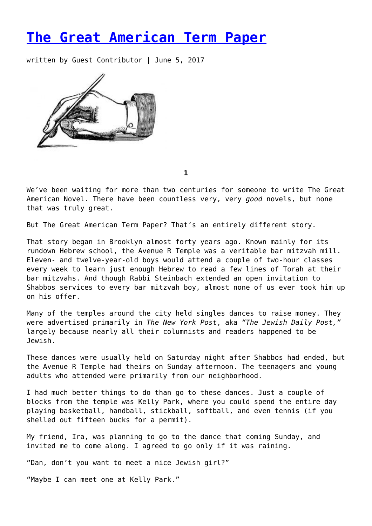## **[The Great American Term Paper](https://entropymag.org/the-great-american-term-paper/)**

written by Guest Contributor | June 5, 2017



**1**

We've been waiting for more than two centuries for someone to write The Great American Novel. There have been countless very, very *good* novels, but none that was truly great.

But The Great American Term Paper? That's an entirely different story.

That story began in Brooklyn almost forty years ago. Known mainly for its rundown Hebrew school, the Avenue R Temple was a veritable bar mitzvah mill. Eleven- and twelve-year-old boys would attend a couple of two-hour classes every week to learn just enough Hebrew to read a few lines of Torah at their bar mitzvahs. And though Rabbi Steinbach extended an open invitation to Shabbos services to every bar mitzvah boy, almost none of us ever took him up on his offer.

Many of the temples around the city held singles dances to raise money. They were advertised primarily in *The New York Post*, aka *"The Jewish Daily Post,"* largely because nearly all their columnists and readers happened to be Jewish.

These dances were usually held on Saturday night after Shabbos had ended, but the Avenue R Temple had theirs on Sunday afternoon. The teenagers and young adults who attended were primarily from our neighborhood.

I had much better things to do than go to these dances. Just a couple of blocks from the temple was Kelly Park, where you could spend the entire day playing basketball, handball, stickball, softball, and even tennis (if you shelled out fifteen bucks for a permit).

My friend, Ira, was planning to go to the dance that coming Sunday, and invited me to come along. I agreed to go only if it was raining.

"Dan, don't you want to meet a nice Jewish girl?"

"Maybe I can meet one at Kelly Park."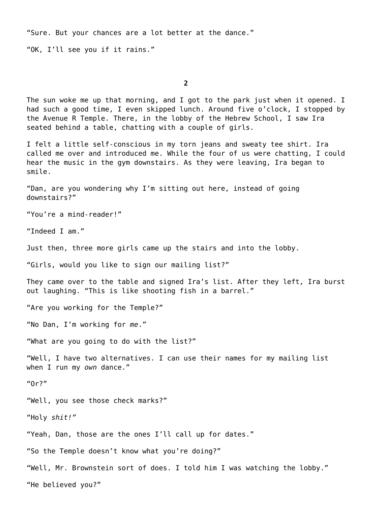"Sure. But your chances are a lot better at the dance."

"OK, I'll see you if it rains."

**2**

The sun woke me up that morning, and I got to the park just when it opened. I had such a good time, I even skipped lunch. Around five o'clock, I stopped by the Avenue R Temple. There, in the lobby of the Hebrew School, I saw Ira seated behind a table, chatting with a couple of girls.

I felt a little self-conscious in my torn jeans and sweaty tee shirt. Ira called me over and introduced me. While the four of us were chatting, I could hear the music in the gym downstairs. As they were leaving, Ira began to smile.

"Dan, are you wondering why I'm sitting out here, instead of going downstairs?"

"You're a mind-reader!"

"Indeed I am."

Just then, three more girls came up the stairs and into the lobby.

"Girls, would you like to sign our mailing list?"

They came over to the table and signed Ira's list. After they left, Ira burst out laughing. "This is like shooting fish in a barrel."

"Are you working for the Temple?"

"No Dan, I'm working for *me*."

"What are you going to do with the list?"

"Well, I have two alternatives. I can use their names for my mailing list when I run my *own* dance."

"Or?"

"Well, you see those check marks?"

"Holy *shit!"*

"Yeah, Dan, those are the ones I'll call up for dates."

"So the Temple doesn't know what you're doing?"

"Well, Mr. Brownstein sort of does. I told him I was watching the lobby."

"He believed you?"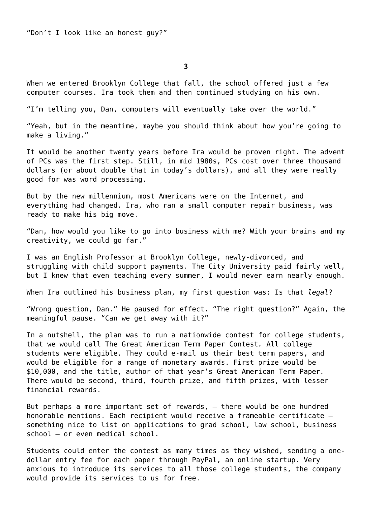"Don't I look like an honest guy?"

**3**

When we entered Brooklyn College that fall, the school offered just a few computer courses. Ira took them and then continued studying on his own.

"I'm telling you, Dan, computers will eventually take over the world."

"Yeah, but in the meantime, maybe you should think about how you're going to make a living."

It would be another twenty years before Ira would be proven right. The advent of PCs was the first step. Still, in mid 1980s, PCs cost over three thousand dollars (or about double that in today's dollars), and all they were really good for was word processing.

But by the new millennium, most Americans were on the Internet, and everything had changed. Ira, who ran a small computer repair business, was ready to make his big move.

"Dan, how would you like to go into business with me? With your brains and my creativity, we could go far."

I was an English Professor at Brooklyn College, newly-divorced, and struggling with child support payments. The City University paid fairly well, but I knew that even teaching every summer, I would never earn nearly enough.

When Ira outlined his business plan, my first question was: Is that *legal*?

"Wrong question, Dan." He paused for effect. "The right question?" Again, the meaningful pause. "Can we get away with it?"

In a nutshell, the plan was to run a nationwide contest for college students, that we would call The Great American Term Paper Contest*.* All college students were eligible. They could e-mail us their best term papers, and would be eligible for a range of monetary awards. First prize would be \$10,000, and the title, author of that year's Great American Term Paper*.* There would be second, third, fourth prize, and fifth prizes, with lesser financial rewards.

But perhaps a more important set of rewards, – there would be one hundred honorable mentions. Each recipient would receive a frameable certificate something nice to list on applications to grad school, law school, business school — or even medical school.

Students could enter the contest as many times as they wished, sending a onedollar entry fee for each paper through PayPal, an online startup. Very anxious to introduce its services to all those college students, the company would provide its services to us for free.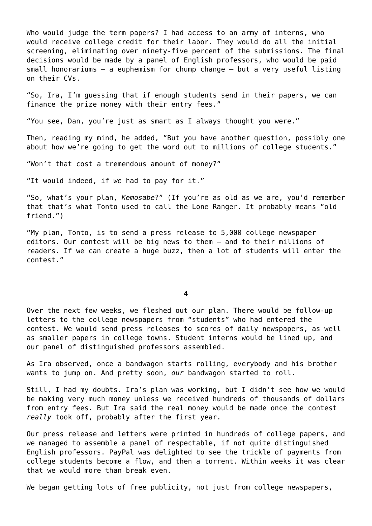Who would judge the term papers? I had access to an army of interns, who would receive college credit for their labor. They would do all the initial screening, eliminating over ninety-five percent of the submissions. The final decisions would be made by a panel of English professors, who would be paid small honorariums – a euphemism for chump change – but a very useful listing on their CVs.

"So, Ira, I'm guessing that if enough students send in their papers, we can finance the prize money with their entry fees."

"You see, Dan, you're just as smart as I always thought you were."

Then, reading my mind, he added, "But you have another question, possibly one about how we're going to get the word out to millions of college students."

"Won't that cost a tremendous amount of money?"

"It would indeed, if *we* had to pay for it."

"So, what's your plan, *Kemosabe*?" (If you're as old as we are, you'd remember that that's what Tonto used to call the Lone Ranger. It probably means "old friend.")

"My plan, Tonto, is to send a press release to 5,000 college newspaper editors. Our contest will be big news to them – and to their millions of readers. If we can create a huge buzz, then a lot of students will enter the contest."

**4**

Over the next few weeks, we fleshed out our plan. There would be follow-up letters to the college newspapers from "students" who had entered the contest. We would send press releases to scores of daily newspapers, as well as smaller papers in college towns. Student interns would be lined up, and our panel of distinguished professors assembled.

As Ira observed, once a bandwagon starts rolling, everybody and his brother wants to jump on. And pretty soon, *our* bandwagon started to roll.

Still, I had my doubts. Ira's plan was working, but I didn't see how we would be making very much money unless we received hundreds of thousands of dollars from entry fees. But Ira said the real money would be made once the contest *really* took off, probably after the first year.

Our press release and letters were printed in hundreds of college papers, and we managed to assemble a panel of respectable, if not quite distinguished English professors. PayPal was delighted to see the trickle of payments from college students become a flow, and then a torrent. Within weeks it was clear that we would more than break even.

We began getting lots of free publicity, not just from college newspapers,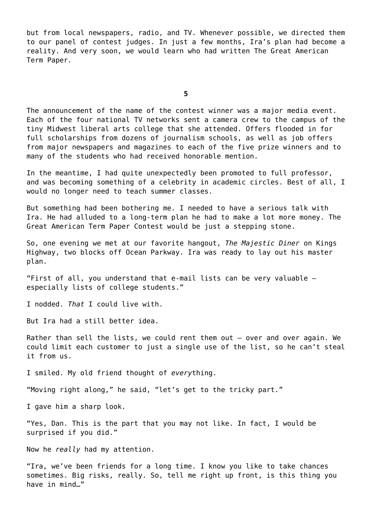but from local newspapers, radio, and TV. Whenever possible, we directed them to our panel of contest judges. In just a few months, Ira's plan had become a reality. And very soon, we would learn who had written The Great American Term Paper*.*

**5**

The announcement of the name of the contest winner was a major media event. Each of the four national TV networks sent a camera crew to the campus of the tiny Midwest liberal arts college that she attended. Offers flooded in for full scholarships from dozens of journalism schools, as well as job offers from major newspapers and magazines to each of the five prize winners and to many of the students who had received honorable mention.

In the meantime, I had quite unexpectedly been promoted to full professor, and was becoming something of a celebrity in academic circles. Best of all, I would no longer need to teach summer classes.

But something had been bothering me. I needed to have a serious talk with Ira. He had alluded to a long-term plan he had to make a lot more money. The Great American Term Paper Contest would be just a stepping stone.

So, one evening we met at our favorite hangout, *The Majestic Diner* on Kings Highway, two blocks off Ocean Parkway. Ira was ready to lay out his master plan.

"First of all, you understand that e-mail lists can be very valuable especially lists of college students."

I nodded. *That* I could live with.

But Ira had a still better idea.

Rather than sell the lists, we could rent them out — over and over again. We could limit each customer to just a single use of the list, so he can't steal it from us.

I smiled. My old friend thought of *every*thing.

"Moving right along," he said, "let's get to the tricky part."

I gave him a sharp look.

"Yes, Dan. This is the part that you may not like. In fact, I would be surprised if you did."

Now he *really* had my attention.

"Ira, we've been friends for a long time. I know you like to take chances sometimes. Big risks, really. So, tell me right up front, is this thing you have in mind…"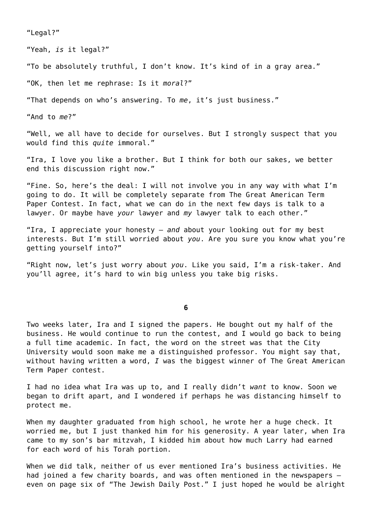"Legal?"

"Yeah, *is* it legal?"

"To be absolutely truthful, I don't know. It's kind of in a gray area."

"OK, then let me rephrase: Is it *moral*?"

"That depends on who's answering. To *me*, it's just business."

"And to *me*?"

"Well, we all have to decide for ourselves. But I strongly suspect that you would find this *quite* immoral."

"Ira, I love you like a brother. But I think for both our sakes, we better end this discussion right now."

"Fine. So, here's the deal: I will not involve you in any way with what I'm going to do. It will be completely separate from The Great American Term Paper Contest. In fact, what we can do in the next few days is talk to a lawyer. Or maybe have *your* lawyer and *my* lawyer talk to each other."

"Ira, I appreciate your honesty – *and* about your looking out for my best interests. But I'm still worried about *you*. Are you sure you know what you're getting yourself into?"

"Right now, let's just worry about *you*. Like you said, I'm a risk-taker. And you'll agree, it's hard to win big unless you take big risks.

**6**

Two weeks later, Ira and I signed the papers. He bought out my half of the business. He would continue to run the contest, and I would go back to being a full time academic. In fact, the word on the street was that the City University would soon make me a distinguished professor. You might say that, without having written a word, *I* was the biggest winner of The Great American Term Paper contest.

I had no idea what Ira was up to, and I really didn't *want* to know. Soon we began to drift apart, and I wondered if perhaps he was distancing himself to protect me.

When my daughter graduated from high school, he wrote her a huge check. It worried me, but I just thanked him for his generosity. A year later, when Ira came to my son's bar mitzvah, I kidded him about how much Larry had earned for each word of his Torah portion.

When we did talk, neither of us ever mentioned Ira's business activities. He had joined a few charity boards, and was often mentioned in the newspapers – even on page six of "The Jewish Daily Post." I just hoped he would be alright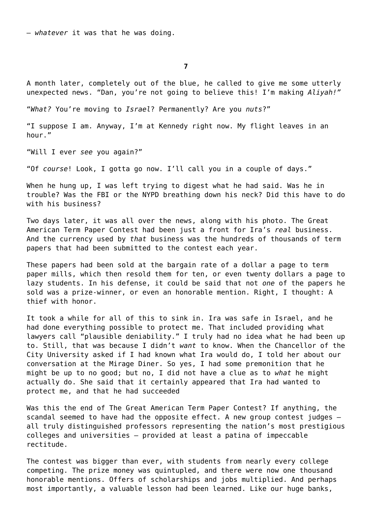– *whatever* it was that he was doing.

**7**

A month later, completely out of the blue, he called to give me some utterly unexpected news. "Dan, you're not going to believe this! I'm making *Aliyah!"*

"*What?* You're moving to *Israel*? Permanently? Are you *nuts*?"

"I suppose I am. Anyway, I'm at Kennedy right now. My flight leaves in an hour."

"Will I ever *see* you again?"

"Of *course*! Look, I gotta go now. I'll call you in a couple of days."

When he hung up, I was left trying to digest what he had said. Was he in trouble? Was the FBI or the NYPD breathing down his neck? Did this have to do with his business?

Two days later, it was all over the news, along with his photo. The Great American Term Paper Contest had been just a front for Ira's *real* business. And the currency used by *that* business was the hundreds of thousands of term papers that had been submitted to the contest each year.

These papers had been sold at the bargain rate of a dollar a page to term paper mills, which then resold them for ten, or even twenty dollars a page to lazy students. In his defense, it could be said that not *one* of the papers he sold was a prize-winner, or even an honorable mention. Right, I thought: A thief with honor.

It took a while for all of this to sink in. Ira was safe in Israel, and he had done everything possible to protect me. That included providing what lawyers call "plausible deniability." I truly had no idea what he had been up to. Still, that was because I didn't *want* to know. When the Chancellor of the City University asked if I had known what Ira would do, I told her about our conversation at the Mirage Diner. So yes, I had some premonition that he might be up to no good; but no, I did not have a clue as to *what* he might actually do. She said that it certainly appeared that Ira had wanted to protect me, and that he had succeeded

Was this the end of The Great American Term Paper Contest? If anything, the scandal seemed to have had the opposite effect. A new group contest judges – all truly distinguished professors representing the nation's most prestigious colleges and universities – provided at least a patina of impeccable rectitude.

The contest was bigger than ever, with students from nearly every college competing. The prize money was quintupled, and there were now one thousand honorable mentions. Offers of scholarships and jobs multiplied. And perhaps most importantly, a valuable lesson had been learned. Like our huge banks,